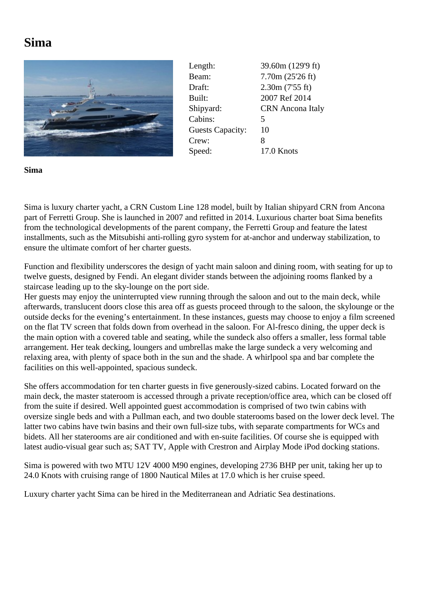## **Sima**



Length: 39.60m (129'9 ft) Beam: 7.70m (25'26 ft) Draft: 2.30m (7'55 ft) Built: 2007 Ref 2014 Shipyard: CRN Ancona Italy Cabins: 5 Guests Capacity: 10 Crew: 8 Speed: 17.0 Knots

**Sima**

Sima is luxury charter yacht, a CRN Custom Line 128 model, built by Italian shipyard CRN from Ancona part of Ferretti Group. She is launched in 2007 and refitted in 2014. Luxurious charter boat Sima benefits from the technological developments of the parent company, the Ferretti Group and feature the latest installments, such as the Mitsubishi anti-rolling gyro system for at-anchor and underway stabilization, to ensure the ultimate comfort of her charter guests.

Function and flexibility underscores the design of yacht main saloon and dining room, with seating for up to twelve guests, designed by Fendi. An elegant divider stands between the adjoining rooms flanked by a staircase leading up to the sky-lounge on the port side.

Her guests may enjoy the uninterrupted view running through the saloon and out to the main deck, while afterwards, translucent doors close this area off as guests proceed through to the saloon, the skylounge or the outside decks for the evening's entertainment. In these instances, guests may choose to enjoy a film screened on the flat TV screen that folds down from overhead in the saloon. For Al-fresco dining, the upper deck is the main option with a covered table and seating, while the sundeck also offers a smaller, less formal table arrangement. Her teak decking, loungers and umbrellas make the large sundeck a very welcoming and relaxing area, with plenty of space both in the sun and the shade. A whirlpool spa and bar complete the facilities on this well-appointed, spacious sundeck.

She offers accommodation for ten charter guests in five generously-sized cabins. Located forward on the main deck, the master stateroom is accessed through a private reception/office area, which can be closed off from the suite if desired. Well appointed guest accommodation is comprised of two twin cabins with oversize single beds and with a Pullman each, and two double staterooms based on the lower deck level. The latter two cabins have twin basins and their own full-size tubs, with separate compartments for WCs and bidets. All her staterooms are air conditioned and with en-suite facilities. Of course she is equipped with latest audio-visual gear such as; SAT TV, Apple with Crestron and Airplay Mode iPod docking stations.

Sima is powered with two MTU 12V 4000 M90 engines, developing 2736 BHP per unit, taking her up to 24.0 Knots with cruising range of 1800 Nautical Miles at 17.0 which is her cruise speed.

Luxury charter yacht Sima can be hired in the Mediterranean and Adriatic Sea destinations.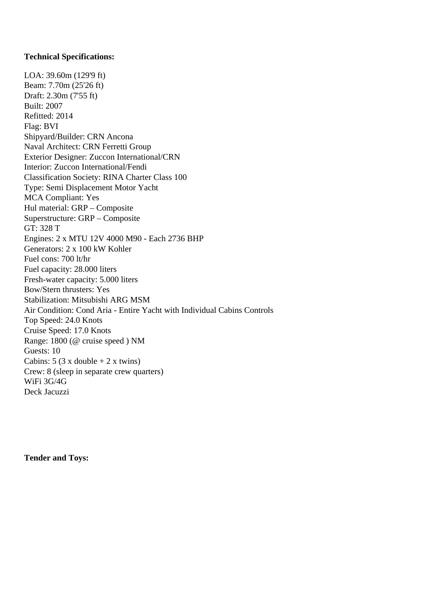## **Technical Specifications:**

LOA: 39.60m (129'9 ft) Beam: 7.70m (25'26 ft) Draft: 2.30m (7'55 ft) Built: 2007 Refitted: 2014 Flag: BVI Shipyard/Builder: CRN Ancona Naval Architect: CRN Ferretti Group Exterior Designer: Zuccon International/CRN Interior: Zuccon International/Fendi Classification Society: RINA Charter Class 100 Type: Semi Displacement Motor Yacht MCA Compliant: Yes Hul material: GRP – Composite Superstructure: GRP – Composite GT: 328 T Engines: 2 x MTU 12V 4000 M90 - Each 2736 BHP Generators: 2 x 100 kW Kohler Fuel cons: 700 lt/hr Fuel capacity: 28.000 liters Fresh-water capacity: 5.000 liters Bow/Stern thrusters: Yes Stabilization: Mitsubishi ARG MSM Air Condition: Cond Aria - Entire Yacht with Individual Cabins Controls Top Speed: 24.0 Knots Cruise Speed: 17.0 Knots Range: 1800 (@ cruise speed ) NM Guests: 10 Cabins:  $5(3 \times \text{double} + 2 \times \text{twins})$ Crew: 8 (sleep in separate crew quarters) WiFi 3G/4G Deck Jacuzzi

**Tender and Toys:**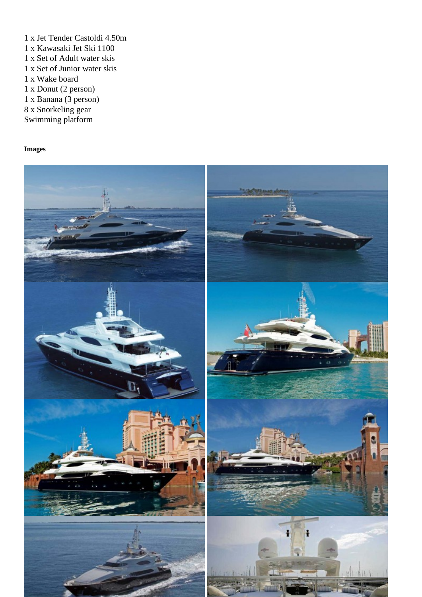- 1 x Jet Tender Castoldi 4.50m 1 x Kawasaki Jet Ski 1100 1 x Set of Adult water skis 1 x Set of Junior water skis
- 1 x Wake board
- 1 x Donut (2 person)
- 1 x Banana (3 person)
- 8 x Snorkeling gear
- Swimming platform

Images